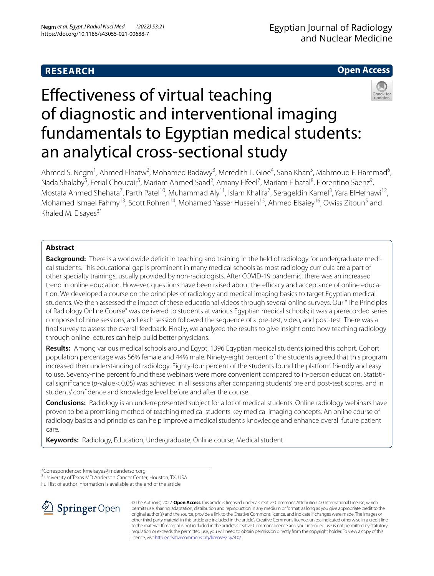# **RESEARCH**

# **Open Access**



# Efectiveness of virtual teaching of diagnostic and interventional imaging fundamentals to Egyptian medical students: an analytical cross-sectional study

Ahmed S. Negm<sup>1</sup>, Ahmed Elhatw<sup>2</sup>, Mohamed Badawy<sup>3</sup>, Meredith L. Gioe<sup>4</sup>, Sana Khan<sup>5</sup>, Mahmoud F. Hammad<sup>6</sup>, Nada Shalaby<sup>5</sup>, Ferial Choucair<sup>5</sup>, Mariam Ahmed Saad<sup>2</sup>, Amany Elfeel<sup>7</sup>, Mariam Elbatal<sup>8</sup>, Florentino Saenz<sup>9</sup>, Mostafa Ahmed Shehata<sup>7</sup>, Parth Patel<sup>10</sup>, Muhammad Aly<sup>11</sup>, Islam Khalifa<sup>7</sup>, Serageldin Kamel<sup>3</sup>, Yara ElHefnawi<sup>12</sup>, Mohamed Ismael Fahmy<sup>13</sup>, Scott Rohren<sup>14</sup>, Mohamed Yasser Hussein<sup>15</sup>, Ahmed Elsaiey<sup>16</sup>, Owiss Zitoun<sup>5</sup> and Khaled M. Elsayes $3*$ 

# **Abstract**

**Background:** There is a worldwide defcit in teaching and training in the feld of radiology for undergraduate medical students. This educational gap is prominent in many medical schools as most radiology curricula are a part of other specialty trainings, usually provided by non-radiologists. After COVID-19 pandemic, there was an increased trend in online education. However, questions have been raised about the efficacy and acceptance of online education. We developed a course on the principles of radiology and medical imaging basics to target Egyptian medical students. We then assessed the impact of these educational videos through several online surveys. Our "The Principles of Radiology Online Course" was delivered to students at various Egyptian medical schools; it was a prerecorded series composed of nine sessions, and each session followed the sequence of a pre-test, video, and post-test. There was a fnal survey to assess the overall feedback. Finally, we analyzed the results to give insight onto how teaching radiology through online lectures can help build better physicians.

**Results:** Among various medical schools around Egypt, 1396 Egyptian medical students joined this cohort. Cohort population percentage was 56% female and 44% male. Ninety-eight percent of the students agreed that this program increased their understanding of radiology. Eighty-four percent of the students found the platform friendly and easy to use. Seventy-nine percent found these webinars were more convenient compared to in-person education. Statistical significance (p-value < 0.05) was achieved in all sessions after comparing students' pre and post-test scores, and in students' confdence and knowledge level before and after the course.

**Conclusions:** Radiology is an underrepresented subject for a lot of medical students. Online radiology webinars have proven to be a promising method of teaching medical students key medical imaging concepts. An online course of radiology basics and principles can help improve a medical student's knowledge and enhance overall future patient care.

**Keywords:** Radiology, Education, Undergraduate, Online course, Medical student

\*Correspondence: kmelsayes@mdanderson.org

<sup>3</sup> University of Texas MD Anderson Cancer Center, Houston, TX, USA

Full list of author information is available at the end of the article



© The Author(s) 2022. **Open Access** This article is licensed under a Creative Commons Attribution 4.0 International License, which permits use, sharing, adaptation, distribution and reproduction in any medium or format, as long as you give appropriate credit to the original author(s) and the source, provide a link to the Creative Commons licence, and indicate if changes were made. The images or other third party material in this article are included in the article's Creative Commons licence, unless indicated otherwise in a credit line to the material. If material is not included in the article's Creative Commons licence and your intended use is not permitted by statutory regulation or exceeds the permitted use, you will need to obtain permission directly from the copyright holder. To view a copy of this licence, visit [http://creativecommons.org/licenses/by/4.0/.](http://creativecommons.org/licenses/by/4.0/)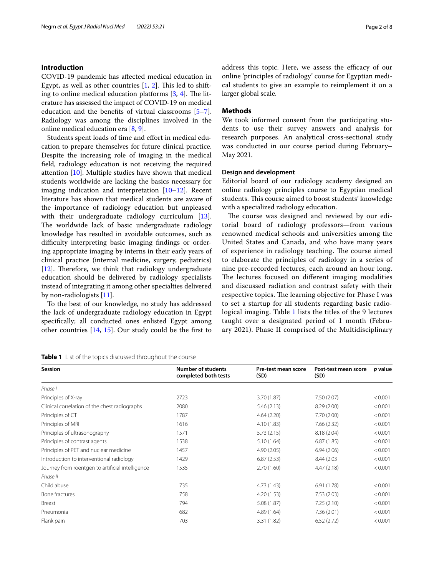# **Introduction**

COVID-19 pandemic has afected medical education in Egypt, as well as other countries  $[1, 2]$  $[1, 2]$  $[1, 2]$  $[1, 2]$  $[1, 2]$ . This led to shifting to online medical education platforms  $[3, 4]$  $[3, 4]$  $[3, 4]$  $[3, 4]$ . The literature has assessed the impact of COVID-19 on medical education and the benefts of virtual classrooms [\[5](#page-7-4)[–7](#page-7-5)]. Radiology was among the disciplines involved in the online medical education era [\[8](#page-7-6), [9\]](#page-7-7).

Students spent loads of time and efort in medical education to prepare themselves for future clinical practice. Despite the increasing role of imaging in the medical feld, radiology education is not receiving the required attention [[10\]](#page-7-8). Multiple studies have shown that medical students worldwide are lacking the basics necessary for imaging indication and interpretation [\[10](#page-7-8)[–12](#page-7-9)]. Recent literature has shown that medical students are aware of the importance of radiology education but unpleased with their undergraduate radiology curriculum [\[13](#page-7-10)]. The worldwide lack of basic undergraduate radiology knowledge has resulted in avoidable outcomes, such as difficulty interpreting basic imaging findings or ordering appropriate imaging by interns in their early years of clinical practice (internal medicine, surgery, pediatrics) [[12\]](#page-7-9). Therefore, we think that radiology undergraduate education should be delivered by radiology specialists instead of integrating it among other specialties delivered by non-radiologists [\[11](#page-7-11)].

To the best of our knowledge, no study has addressed the lack of undergraduate radiology education in Egypt specifcally; all conducted ones enlisted Egypt among other countries [[14,](#page-7-12) [15](#page-7-13)]. Our study could be the frst to

<span id="page-1-0"></span>

| <b>Session</b>                                   | <b>Number of students</b><br>completed both tests | Pre-test mean score<br>(SD) | Post-test mean score<br>(SD) | p value |
|--------------------------------------------------|---------------------------------------------------|-----------------------------|------------------------------|---------|
| Phase I                                          |                                                   |                             |                              |         |
| Principles of X-ray                              | 2723                                              | 3.70 (1.87)                 | 7.50(2.07)                   | < 0.001 |
| Clinical correlation of the chest radiographs    | 2080                                              | 5.46(2.13)                  | 8.29(2.00)                   | < 0.001 |
| Principles of CT                                 | 1787                                              | 4.64(2.20)                  | 7.70(2.00)                   | < 0.001 |
| Principles of MRI                                | 1616                                              | 4.10(1.83)                  | 7.66(2.32)                   | < 0.001 |
| Principles of ultrasonography                    | 1571                                              | 5.73(2.15)                  | 8.18 (2.04)                  | < 0.001 |
| Principles of contrast agents                    | 1538                                              | 5.10(1.64)                  | 6.87(1.85)                   | < 0.001 |
| Principles of PET and nuclear medicine           | 1457                                              | 4.90(2.05)                  | 6.94(2.06)                   | < 0.001 |
| Introduction to interventional radiology         | 1429                                              | 6.87(2.53)                  | 8.44 (2.03)                  | < 0.001 |
| Journey from roentgen to artificial intelligence | 1535                                              | 2.70(1.60)                  | 4.47(2.18)                   | < 0.001 |
| Phase II                                         |                                                   |                             |                              |         |
| Child abuse                                      | 735                                               | 4.73(1.43)                  | 6.91(1.78)                   | < 0.001 |
| Bone fractures                                   | 758                                               | 4.20(1.53)                  | 7.53(2.03)                   | < 0.001 |
| Breast                                           | 794                                               | 5.08(1.87)                  | 7.25(2.10)                   | < 0.001 |
| Pneumonia                                        | 682                                               | 4.89 (1.64)                 | 7.36(2.01)                   | < 0.001 |
| Flank pain                                       | 703                                               | 3.31(1.82)                  | 6.52(2.72)                   | < 0.001 |

address this topic. Here, we assess the efficacy of our online 'principles of radiology' course for Egyptian medical students to give an example to reimplement it on a larger global scale.

# **Methods**

We took informed consent from the participating students to use their survey answers and analysis for research purposes. An analytical cross-sectional study was conducted in our course period during February– May 2021.

## **Design and development**

Editorial board of our radiology academy designed an online radiology principles course to Egyptian medical students. This course aimed to boost students' knowledge with a specialized radiology education.

The course was designed and reviewed by our editorial board of radiology professors—from various renowned medical schools and universities among the United States and Canada, and who have many years of experience in radiology teaching. The course aimed to elaborate the principles of radiology in a series of nine pre-recorded lectures, each around an hour long. The lectures focused on different imaging modalities and discussed radiation and contrast safety with their respective topics. The learning objective for Phase I was to set a startup for all students regarding basic radiological imaging. Table [1](#page-1-0) lists the titles of the 9 lectures taught over a designated period of 1 month (February 2021). Phase II comprised of the Multidisciplinary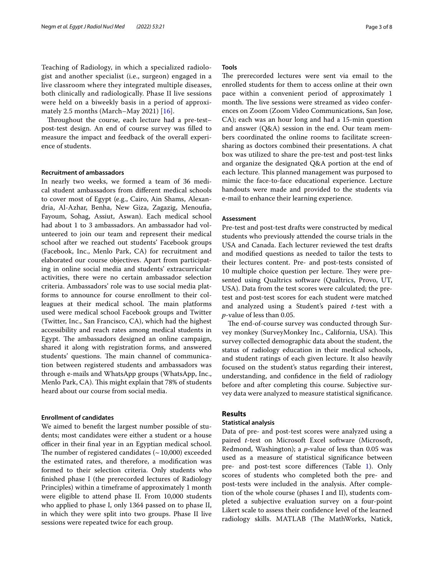Teaching of Radiology, in which a specialized radiologist and another specialist (i.e., surgeon) engaged in a live classroom where they integrated multiple diseases, both clinically and radiologically. Phase II live sessions were held on a biweekly basis in a period of approximately 2.5 months (March–May 2021) [[16\]](#page-7-14).

Throughout the course, each lecture had a pre-testpost-test design. An end of course survey was flled to measure the impact and feedback of the overall experience of students.

#### **Recruitment of ambassadors**

In nearly two weeks, we formed a team of 36 medical student ambassadors from diferent medical schools to cover most of Egypt (e.g., Cairo, Ain Shams, Alexandria, Al-Azhar, Benha, New Giza, Zagazig, Menoufa, Fayoum, Sohag, Assiut, Aswan). Each medical school had about 1 to 3 ambassadors. An ambassador had volunteered to join our team and represent their medical school after we reached out students' Facebook groups (Facebook, Inc., Menlo Park, CA) for recruitment and elaborated our course objectives. Apart from participating in online social media and students' extracurricular activities, there were no certain ambassador selection criteria. Ambassadors' role was to use social media platforms to announce for course enrollment to their colleagues at their medical school. The main platforms used were medical school Facebook groups and Twitter (Twitter, Inc., San Francisco, CA), which had the highest accessibility and reach rates among medical students in Egypt. The ambassadors designed an online campaign, shared it along with registration forms, and answered students' questions. The main channel of communication between registered students and ambassadors was through e-mails and WhatsApp groups (WhatsApp, Inc., Menlo Park, CA). This might explain that 78% of students heard about our course from social media.

# **Enrollment of candidates**

We aimed to beneft the largest number possible of students; most candidates were either a student or a house officer in their final year in an Egyptian medical school. The number of registered candidates  $(-10,000)$  exceeded the estimated rates, and therefore, a modifcation was formed to their selection criteria. Only students who fnished phase I (the prerecorded lectures of Radiology Principles) within a timeframe of approximately 1 month were eligible to attend phase II. From 10,000 students who applied to phase I, only 1364 passed on to phase II, in which they were split into two groups. Phase II live sessions were repeated twice for each group.

# **Tools**

The prerecorded lectures were sent via email to the enrolled students for them to access online at their own pace within a convenient period of approximately 1 month. The live sessions were streamed as video conferences on Zoom (Zoom Video Communications, San Jose, CA); each was an hour long and had a 15-min question and answer (Q&A) session in the end. Our team members coordinated the online rooms to facilitate screensharing as doctors combined their presentations. A chat box was utilized to share the pre-test and post-test links and organize the designated Q&A portion at the end of each lecture. This planned management was purposed to mimic the face-to-face educational experience. Lecture handouts were made and provided to the students via e-mail to enhance their learning experience.

## **Assessment**

Pre-test and post-test drafts were constructed by medical students who previously attended the course trials in the USA and Canada. Each lecturer reviewed the test drafts and modifed questions as needed to tailor the tests to their lectures content. Pre- and post-tests consisted of 10 multiple choice question per lecture. They were presented using Qualtrics software (Qualtrics, Provo, UT, USA). Data from the test scores were calculated; the pretest and post-test scores for each student were matched and analyzed using a Student's paired *t*-test with a *p*-value of less than 0.05.

The end-of-course survey was conducted through Survey monkey (SurveyMonkey Inc., California, USA). This survey collected demographic data about the student, the status of radiology education in their medical schools, and student ratings of each given lecture. It also heavily focused on the student's status regarding their interest, understanding, and confdence in the feld of radiology before and after completing this course. Subjective survey data were analyzed to measure statistical signifcance.

# **Results**

## **Statistical analysis**

Data of pre- and post-test scores were analyzed using a paired *t*-test on Microsoft Excel software (Microsoft, Redmond, Washington); a *p*-value of less than 0.05 was used as a measure of statistical signifcance between pre- and post-test score diferences (Table [1\)](#page-1-0). Only scores of students who completed both the pre- and post-tests were included in the analysis. After completion of the whole course (phases I and II), students completed a subjective evaluation survey on a four-point Likert scale to assess their confdence level of the learned radiology skills. MATLAB (The MathWorks, Natick,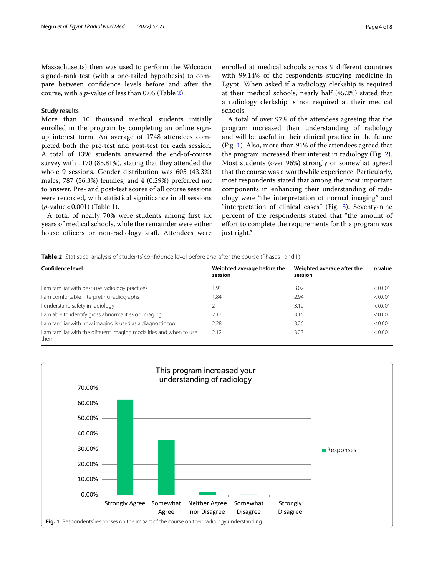Massachusetts) then was used to perform the Wilcoxon signed-rank test (with a one-tailed hypothesis) to compare between confdence levels before and after the course, with a *p*-value of less than 0.05 (Table [2](#page-3-0)).

# **Study results**

More than 10 thousand medical students initially enrolled in the program by completing an online signup interest form. An average of 1748 attendees completed both the pre-test and post-test for each session. A total of 1396 students answered the end-of-course survey with 1170 (83.81%), stating that they attended the whole 9 sessions. Gender distribution was 605 (43.3%) males, 787 (56.3%) females, and 4 (0.29%) preferred not to answer. Pre- and post-test scores of all course sessions were recorded, with statistical signifcance in all sessions (*p*-value<0.001) (Table [1](#page-1-0)).

A total of nearly 70% were students among frst six years of medical schools, while the remainder were either house officers or non-radiology staff. Attendees were

enrolled at medical schools across 9 diferent countries with 99.14% of the respondents studying medicine in Egypt. When asked if a radiology clerkship is required at their medical schools, nearly half (45.2%) stated that a radiology clerkship is not required at their medical schools.

A total of over 97% of the attendees agreeing that the program increased their understanding of radiology and will be useful in their clinical practice in the future (Fig. [1](#page-3-1)). Also, more than 91% of the attendees agreed that the program increased their interest in radiology (Fig. [2](#page-4-0)). Most students (over 96%) strongly or somewhat agreed that the course was a worthwhile experience. Particularly, most respondents stated that among the most important components in enhancing their understanding of radiology were "the interpretation of normal imaging" and "interpretation of clinical cases" (Fig. [3\)](#page-4-1). Seventy-nine percent of the respondents stated that "the amount of effort to complete the requirements for this program was just right."

#### <span id="page-3-0"></span>**Table 2** Statistical analysis of students' confdence level before and after the course (Phases I and II)

| <b>Confidence level</b>                                                     | Weighted average before the<br>session | Weighted average after the<br>session | p value |
|-----------------------------------------------------------------------------|----------------------------------------|---------------------------------------|---------|
| I am familiar with best-use radiology practices                             | .91                                    | 3.02                                  | < 0.001 |
| I am comfortable interpreting radiographs                                   | .84                                    | 2.94                                  | < 0.001 |
| I understand safety in radiology                                            |                                        | 3.12                                  | < 0.001 |
| I am able to identify gross abnormalities on imaging                        | 2.17                                   | 3.16                                  | < 0.001 |
| I am familiar with how imaging is used as a diagnostic tool                 | 2.28                                   | 3.26                                  | < 0.001 |
| I am familiar with the different imaging modalities and when to use<br>them | 2.12                                   | 3.23                                  | < 0.001 |

<span id="page-3-1"></span>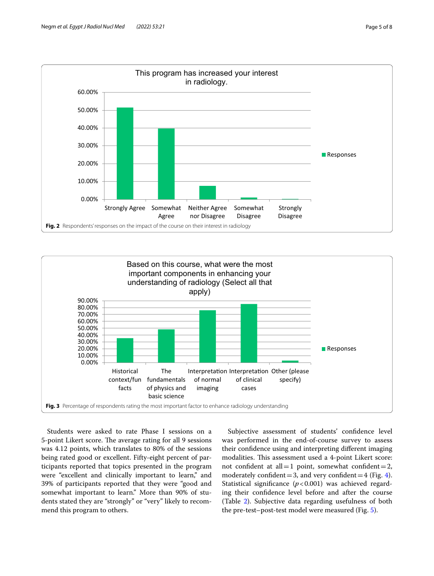

<span id="page-4-0"></span>

<span id="page-4-1"></span>Students were asked to rate Phase I sessions on a 5-point Likert score. The average rating for all 9 sessions was 4.12 points, which translates to 80% of the sessions being rated good or excellent. Fifty-eight percent of participants reported that topics presented in the program were "excellent and clinically important to learn," and 39% of participants reported that they were "good and somewhat important to learn." More than 90% of students stated they are "strongly" or "very" likely to recommend this program to others.

Subjective assessment of students' confidence level was performed in the end-of-course survey to assess their confdence using and interpreting diferent imaging modalities. This assessment used a 4-point Likert score: not confident at all = 1 point, somewhat confident = 2, moderately confident = 3, and very confident =  $4$  (Fig. 4). Statistical significance  $(p<0.001)$  was achieved regarding their confdence level before and after the course (Table [2\)](#page-3-0). Subjective data regarding usefulness of both the pre-test–post-test model were measured (Fig. [5](#page-5-1)).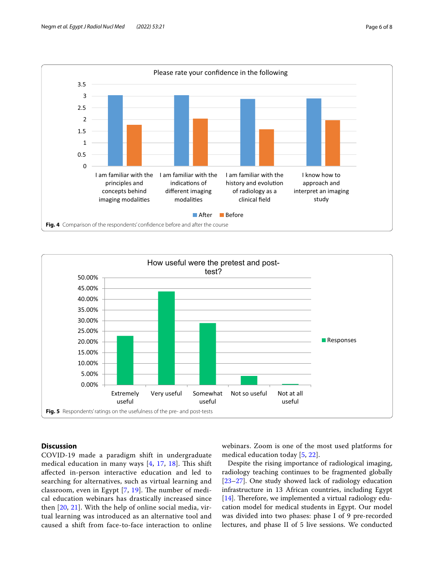

<span id="page-5-0"></span>

# <span id="page-5-1"></span>**Discussion**

COVID-19 made a paradigm shift in undergraduate medical education in many ways  $[4, 17, 18]$  $[4, 17, 18]$  $[4, 17, 18]$  $[4, 17, 18]$  $[4, 17, 18]$  $[4, 17, 18]$ . This shift afected in-person interactive education and led to searching for alternatives, such as virtual learning and classroom, even in Egypt  $[7, 19]$  $[7, 19]$  $[7, 19]$  $[7, 19]$  $[7, 19]$ . The number of medical education webinars has drastically increased since then [[20,](#page-7-18) [21](#page-7-19)]. With the help of online social media, virtual learning was introduced as an alternative tool and caused a shift from face-to-face interaction to online webinars. Zoom is one of the most used platforms for medical education today [[5,](#page-7-4) [22\]](#page-7-20).

Despite the rising importance of radiological imaging, radiology teaching continues to be fragmented globally [[23–](#page-7-21)[27\]](#page-7-22). One study showed lack of radiology education infrastructure in 13 African countries, including Egypt [ $14$ ]. Therefore, we implemented a virtual radiology education model for medical students in Egypt. Our model was divided into two phases: phase I of 9 pre-recorded lectures, and phase II of 5 live sessions. We conducted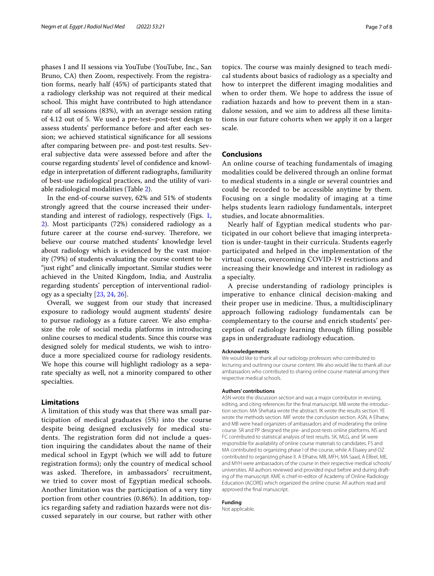phases I and II sessions via YouTube (YouTube, Inc., San Bruno, CA) then Zoom, respectively. From the registration forms, nearly half (45%) of participants stated that a radiology clerkship was not required at their medical school. This might have contributed to high attendance rate of all sessions (83%), with an average session rating of 4.12 out of 5. We used a pre-test–post-test design to assess students' performance before and after each session; we achieved statistical signifcance for all sessions after comparing between pre- and post-test results. Several subjective data were assessed before and after the course regarding students' level of confdence and knowledge in interpretation of diferent radiographs, familiarity of best-use radiological practices, and the utility of variable radiological modalities (Table [2\)](#page-3-0).

In the end-of-course survey, 62% and 51% of students strongly agreed that the course increased their understanding and interest of radiology, respectively (Figs. [1](#page-3-1), [2\)](#page-4-0). Most participants (72%) considered radiology as a future career at the course end-survey. Therefore, we believe our course matched students' knowledge level about radiology which is evidenced by the vast majority (79%) of students evaluating the course content to be "just right" and clinically important. Similar studies were achieved in the United Kingdom, India, and Australia regarding students' perception of interventional radiology as a specialty [\[23](#page-7-21), [24](#page-7-23), [26\]](#page-7-24).

Overall, we suggest from our study that increased exposure to radiology would augment students' desire to pursue radiology as a future career. We also emphasize the role of social media platforms in introducing online courses to medical students. Since this course was designed solely for medical students, we wish to introduce a more specialized course for radiology residents. We hope this course will highlight radiology as a separate specialty as well, not a minority compared to other specialties.

# **Limitations**

A limitation of this study was that there was small participation of medical graduates (5%) into the course despite being designed exclusively for medical students. The registration form did not include a question inquiring the candidates about the name of their medical school in Egypt (which we will add to future registration forms); only the country of medical school was asked. Therefore, in ambassadors' recruitment, we tried to cover most of Egyptian medical schools. Another limitation was the participation of a very tiny portion from other countries (0.86%). In addition, topics regarding safety and radiation hazards were not discussed separately in our course, but rather with other topics. The course was mainly designed to teach medical students about basics of radiology as a specialty and how to interpret the diferent imaging modalities and when to order them. We hope to address the issue of radiation hazards and how to prevent them in a standalone session, and we aim to address all these limitations in our future cohorts when we apply it on a larger scale.

# **Conclusions**

An online course of teaching fundamentals of imaging modalities could be delivered through an online format to medical students in a single or several countries and could be recorded to be accessible anytime by them. Focusing on a single modality of imaging at a time helps students learn radiology fundamentals, interpret studies, and locate abnormalities.

Nearly half of Egyptian medical students who participated in our cohort believe that imaging interpretation is under-taught in their curricula. Students eagerly participated and helped in the implementation of the virtual course, overcoming COVID-19 restrictions and increasing their knowledge and interest in radiology as a specialty.

A precise understanding of radiology principles is imperative to enhance clinical decision-making and their proper use in medicine. Thus, a multidisciplinary approach following radiology fundamentals can be complementary to the course and enrich students' perception of radiology learning through flling possible gaps in undergraduate radiology education.

#### **Acknowledgements**

We would like to thank all our radiology professors who contributed to lecturing and outlining our course content. We also would like to thank all our ambassadors who contributed to sharing online course material among their respective medical schools.

#### **Authors' contributions**

ASN wrote the discussion section and was a major contributor in revising, editing, and citing references for the fnal manuscript. MB wrote the introduction section. MA Shehata wrote the abstract. IK wrote the results section. YE wrote the methods section. MIF wrote the conclusion section. ASN, A Elhatw, and MB were head organizers of ambassadors and of moderating the online course. SR and PP designed the pre- and post-tests online platforms. NS and FC contributed to statistical analysis of test results. SK, MLG, and SK were responsible for availability of online course materials to candidates. FS and MA contributed to organizing phase I of the course, while A Elsaiey and OZ contributed to organizing phase II. A Elhatw, MB, MFH, MA Saad, A Elfeel, ME, and MYH were ambassadors of the course in their respective medical schools/ universities. All authors reviewed and provided input before and during drafting of the manuscript. KME is chief-in-editor of Academy of Online Radiology Education (ACORE) which organized the online course. All authors read and approved the fnal manuscript.

#### **Funding**

Not applicable.